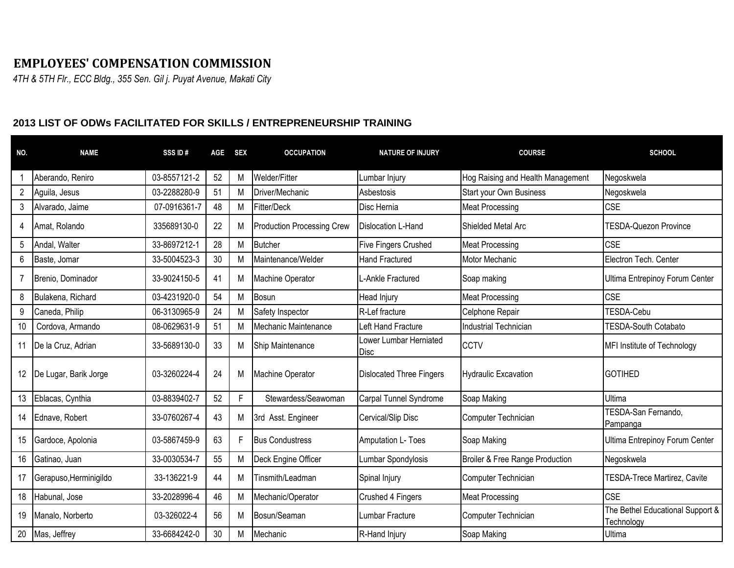## **EMPLOYEES' COMPENSATION COMMISSION**

*4TH & 5TH Flr., ECC Bldg., 355 Sen. Gil j. Puyat Avenue, Makati City*

## **2013 LIST OF ODWs FACILITATED FOR SKILLS / ENTREPRENEURSHIP TRAINING**

| NO.            | <b>NAME</b>            | SSS ID#      | AGE | <b>SEX</b> | <b>OCCUPATION</b>          | <b>NATURE OF INJURY</b>         | <b>COURSE</b>                     | <b>SCHOOL</b>                                  |
|----------------|------------------------|--------------|-----|------------|----------------------------|---------------------------------|-----------------------------------|------------------------------------------------|
|                | Aberando, Reniro       | 03-8557121-2 | 52  | Μ          | Welder/Fitter              | Lumbar Injury                   | Hog Raising and Health Management | Negoskwela                                     |
| $\overline{2}$ | Aguila, Jesus          | 03-2288280-9 | 51  | М          | Driver/Mechanic            | Asbestosis                      | <b>Start your Own Business</b>    | Negoskwela                                     |
| 3              | Alvarado, Jaime        | 07-0916361-7 | 48  | М          | Fitter/Deck                | Disc Hernia                     | <b>Meat Processing</b>            | <b>CSE</b>                                     |
| 4              | Amat, Rolando          | 335689130-0  | 22  | M          | Production Processing Crew | Dislocation L-Hand              | Shielded Metal Arc                | TESDA-Quezon Province                          |
| 5              | Andal, Walter          | 33-8697212-1 | 28  | М          | Butcher                    | <b>Five Fingers Crushed</b>     | <b>Meat Processing</b>            | <b>CSE</b>                                     |
| 6              | Baste, Jomar           | 33-5004523-3 | 30  | М          | Maintenance/Welder         | <b>Hand Fractured</b>           | Motor Mechanic                    | Electron Tech. Center                          |
| 7              | Brenio, Dominador      | 33-9024150-5 | 41  | M          | Machine Operator           | L-Ankle Fractured               | Soap making                       | Ultima Entrepinoy Forum Center                 |
| 8              | Bulakena, Richard      | 03-4231920-0 | 54  | M          | Bosun                      | Head Injury                     | <b>Meat Processing</b>            | <b>CSE</b>                                     |
| 9              | Caneda, Philip         | 06-3130965-9 | 24  | М          | Safety Inspector           | R-Lef fracture                  | Celphone Repair                   | TESDA-Cebu                                     |
| 10             | Cordova, Armando       | 08-0629631-9 | 51  | М          | Mechanic Maintenance       | Left Hand Fracture              | <b>Industrial Technician</b>      | <b>TESDA-South Cotabato</b>                    |
| 11             | De la Cruz, Adrian     | 33-5689130-0 | 33  | М          | Ship Maintenance           | Lower Lumbar Herniated<br>Disc  | <b>CCTV</b>                       | MFI Institute of Technology                    |
| 12             | De Lugar, Barik Jorge  | 03-3260224-4 | 24  | M          | Machine Operator           | <b>Dislocated Three Fingers</b> | <b>Hydraulic Excavation</b>       | <b>GOTIHED</b>                                 |
| 13             | Eblacas, Cynthia       | 03-8839402-7 | 52  | F          | Stewardess/Seawoman        | Carpal Tunnel Syndrome          | Soap Making                       | Ultima                                         |
| 14             | Ednave, Robert         | 33-0760267-4 | 43  | M          | 3rd Asst. Engineer         | Cervical/Slip Disc              | Computer Technician               | TESDA-San Fernando,<br>Pampanga                |
| 15             | Gardoce, Apolonia      | 03-5867459-9 | 63  | F          | <b>Bus Condustress</b>     | Amputation L- Toes              | Soap Making                       | Ultima Entrepinoy Forum Center                 |
| 16             | Gatinao, Juan          | 33-0030534-7 | 55  | M          | Deck Engine Officer        | Lumbar Spondylosis              | Broiler & Free Range Production   | Negoskwela                                     |
| 17             | Gerapuso, Herminigildo | 33-136221-9  | 44  | M          | Tinsmith/Leadman           | Spinal Injury                   | Computer Technician               | TESDA-Trece Martirez, Cavite                   |
| 18             | Habunal, Jose          | 33-2028996-4 | 46  | M          | Mechanic/Operator          | Crushed 4 Fingers               | <b>Meat Processing</b>            | <b>CSE</b>                                     |
| 19             | Manalo, Norberto       | 03-326022-4  | 56  | M          | Bosun/Seaman               | Lumbar Fracture                 | Computer Technician               | The Bethel Educational Support &<br>Technology |
|                | 20 Mas, Jeffrey        | 33-6684242-0 | 30  | M          | Mechanic                   | R-Hand Injury                   | Soap Making                       | Ultima                                         |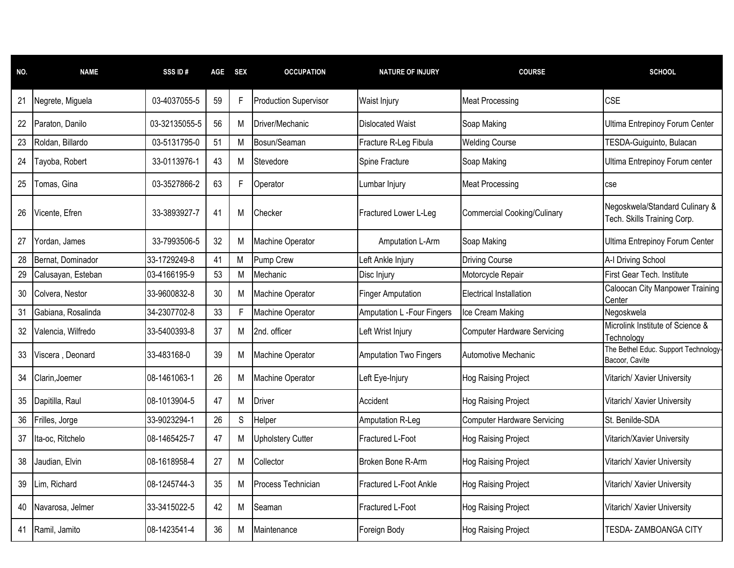| NO. | <b>NAME</b>        | SSS ID#       | AGE | <b>SEX</b> | <b>OCCUPATION</b>            | <b>NATURE OF INJURY</b>           | <b>COURSE</b>                      | <b>SCHOOL</b>                                                 |
|-----|--------------------|---------------|-----|------------|------------------------------|-----------------------------------|------------------------------------|---------------------------------------------------------------|
| 21  | Negrete, Miguela   | 03-4037055-5  | 59  | F          | <b>Production Supervisor</b> | <b>Waist Injury</b>               | <b>Meat Processing</b>             | <b>CSE</b>                                                    |
| 22  | Paraton, Danilo    | 03-32135055-5 | 56  | М          | Driver/Mechanic              | <b>Dislocated Waist</b>           | Soap Making                        | Ultima Entrepinoy Forum Center                                |
| 23  | Roldan, Billardo   | 03-5131795-0  | 51  | М          | Bosun/Seaman                 | Fracture R-Leg Fibula             | <b>Welding Course</b>              | TESDA-Guiguinto, Bulacan                                      |
| 24  | Tayoba, Robert     | 33-0113976-1  | 43  | м          | Stevedore                    | Spine Fracture                    | Soap Making                        | Ultima Entrepinoy Forum center                                |
| 25  | Tomas, Gina        | 03-3527866-2  | 63  | F          | Operator                     | Lumbar Injury                     | <b>Meat Processing</b>             | cse                                                           |
| 26  | Vicente, Efren     | 33-3893927-7  | 41  | М          | Checker                      | Fractured Lower L-Leg             | <b>Commercial Cooking/Culinary</b> | Negoskwela/Standard Culinary &<br>Tech. Skills Training Corp. |
| 27  | Yordan, James      | 33-7993506-5  | 32  | М          | Machine Operator             | Amputation L-Arm                  | Soap Making                        | Ultima Entrepinoy Forum Center                                |
| 28  | Bernat, Dominador  | 33-1729249-8  | 41  | M          | Pump Crew                    | Left Ankle Injury                 | <b>Driving Course</b>              | A-I Driving School                                            |
| 29  | Calusayan, Esteban | 03-4166195-9  | 53  | М          | Mechanic                     | Disc Injury                       | Motorcycle Repair                  | First Gear Tech. Institute                                    |
| 30  | Colvera, Nestor    | 33-9600832-8  | 30  | M          | Machine Operator             | <b>Finger Amputation</b>          | Electrical Installation            | Caloocan City Manpower Training<br>Center                     |
| 31  | Gabiana, Rosalinda | 34-2307702-8  | 33  |            | Machine Operator             | <b>Amputation L -Four Fingers</b> | Ice Cream Making                   | Negoskwela                                                    |
| 32  | Valencia, Wilfredo | 33-5400393-8  | 37  | М          | 2nd. officer                 | Left Wrist Injury                 | <b>Computer Hardware Servicing</b> | Microlink Institute of Science &<br>Technology                |
| 33  | Viscera, Deonard   | 33-483168-0   | 39  | Μ          | Machine Operator             | <b>Amputation Two Fingers</b>     | Automotive Mechanic                | The Bethel Educ. Support Technology-<br>Bacoor, Cavite        |
| 34  | Clarin, Joemer     | 08-1461063-1  | 26  | М          | Machine Operator             | Left Eye-Injury                   | <b>Hog Raising Project</b>         | Vitarich/ Xavier University                                   |
| 35  | Dapitilla, Raul    | 08-1013904-5  | 47  | М          | Driver                       | Accident                          | Hog Raising Project                | Vitarich/ Xavier University                                   |
| 36  | Frilles, Jorge     | 33-9023294-1  | 26  | S          | Helper                       | Amputation R-Leg                  | <b>Computer Hardware Servicing</b> | St. Benilde-SDA                                               |
| 37  | Ita-oc, Ritchelo   | 08-1465425-7  | 47  | м          | <b>Upholstery Cutter</b>     | Fractured L-Foot                  | Hog Raising Project                | Vitarich/Xavier University                                    |
| 38  | Jaudian, Elvin     | 08-1618958-4  | 27  | М          | Collector                    | Broken Bone R-Arm                 | Hog Raising Project                | Vitarich/ Xavier University                                   |
| 39  | Lim, Richard       | 08-1245744-3  | 35  | М          | Process Technician           | <b>Fractured L-Foot Ankle</b>     | Hog Raising Project                | Vitarich/ Xavier University                                   |
| 40  | Navarosa, Jelmer   | 33-3415022-5  | 42  | Μ          | Seaman                       | Fractured L-Foot                  | Hog Raising Project                | Vitarich/ Xavier University                                   |
| 41  | Ramil, Jamito      | 08-1423541-4  | 36  | Μ          | <b>I</b> Maintenance         | Foreign Body                      | Hog Raising Project                | TESDA-ZAMBOANGA CITY                                          |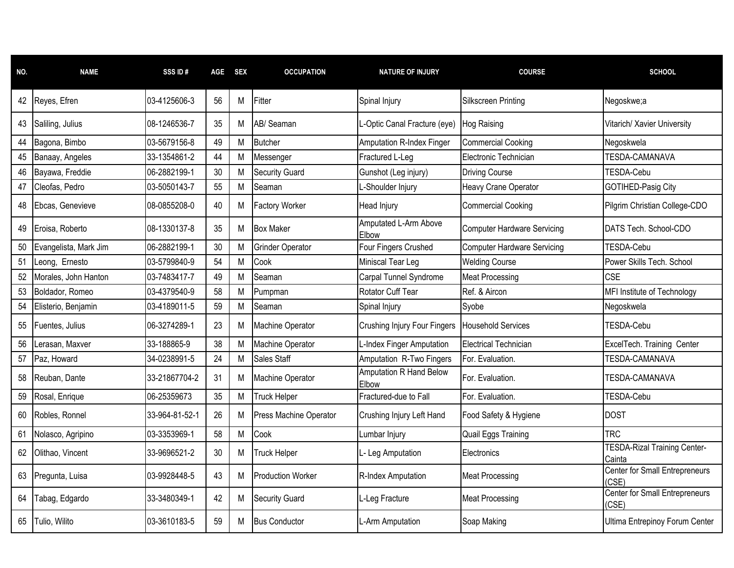| NO. | <b>NAME</b>           | SSS ID#        | <b>AGE</b> | <b>SEX</b> | <b>OCCUPATION</b>       | <b>NATURE OF INJURY</b>             | <b>COURSE</b>                      | <b>SCHOOL</b>                                  |
|-----|-----------------------|----------------|------------|------------|-------------------------|-------------------------------------|------------------------------------|------------------------------------------------|
| 42  | Reyes, Efren          | 03-4125606-3   | 56         | М          | Fitter                  | Spinal Injury                       | <b>Silkscreen Printing</b>         | Negoskwe;a                                     |
| 43  | Saliling, Julius      | 08-1246536-7   | 35         | м          | AB/ Seaman              | L-Optic Canal Fracture (eye)        | Hog Raising                        | Vitarich/ Xavier University                    |
| 44  | Bagona, Bimbo         | 03-5679156-8   | 49         | М          | <b>Butcher</b>          | <b>Amputation R-Index Finger</b>    | <b>Commercial Cooking</b>          | Negoskwela                                     |
| 45  | Banaay, Angeles       | 33-1354861-2   | 44         | М          | Messenger               | Fractured L-Leg                     | Electronic Technician              | <b>TESDA-CAMANAVA</b>                          |
| 46  | Bayawa, Freddie       | 06-2882199-1   | 30         | M          | <b>Security Guard</b>   | Gunshot (Leg injury)                | <b>Driving Course</b>              | TESDA-Cebu                                     |
| 47  | Cleofas, Pedro        | 03-5050143-7   | 55         | M          | Seaman                  | -Shoulder Injury                    | Heavy Crane Operator               | GOTIHED-Pasig City                             |
| 48  | Ebcas, Genevieve      | 08-0855208-0   | 40         | м          | <b>Factory Worker</b>   | <b>Head Injury</b>                  | <b>Commercial Cooking</b>          | Pilgrim Christian College-CDO                  |
| 49  | Eroisa, Roberto       | 08-1330137-8   | 35         | М          | <b>Box Maker</b>        | Amputated L-Arm Above<br>Elbow      | <b>Computer Hardware Servicing</b> | DATS Tech. School-CDO                          |
| 50  | Evangelista, Mark Jim | 06-2882199-1   | 30         | M          | <b>Grinder Operator</b> | Four Fingers Crushed                | <b>Computer Hardware Servicing</b> | TESDA-Cebu                                     |
| 51  | Leong, Ernesto        | 03-5799840-9   | 54         | М          | Cook                    | Miniscal Tear Leg                   | <b>Welding Course</b>              | Power Skills Tech, School                      |
| 52  | Morales, John Hanton  | 03-7483417-7   | 49         | M          | Seaman                  | Carpal Tunnel Syndrome              | <b>Meat Processing</b>             | <b>CSE</b>                                     |
| 53  | Boldador, Romeo       | 03-4379540-9   | 58         | М          | Pumpman                 | Rotator Cuff Tear                   | Ref. & Aircon                      | MFI Institute of Technology                    |
| 54  | Elisterio, Benjamin   | 03-4189011-5   | 59         | М          | Seaman                  | Spinal Injury                       | Syobe                              | Negoskwela                                     |
| 55  | Fuentes, Julius       | 06-3274289-1   | 23         | м          | Machine Operator        | <b>Crushing Injury Four Fingers</b> | <b>Household Services</b>          | TESDA-Cebu                                     |
| 56  | Lerasan, Maxver       | 33-188865-9    | 38         | М          | <b>Machine Operator</b> | L-Index Finger Amputation           | <b>Electrical Technician</b>       | ExcelTech. Training Center                     |
| 57  | Paz, Howard           | 34-0238991-5   | 24         | М          | Sales Staff             | Amputation R-Two Fingers            | For. Evaluation.                   | TESDA-CAMANAVA                                 |
| 58  | Reuban, Dante         | 33-21867704-2  | 31         | м          | Machine Operator        | Amputation R Hand Below<br>Elbow    | For. Evaluation.                   | <b>TESDA-CAMANAVA</b>                          |
| 59  | Rosal, Enrique        | 06-25359673    | 35         | M          | <b>Truck Helper</b>     | Fractured-due to Fall               | For. Evaluation.                   | TESDA-Cebu                                     |
| 60  | Robles, Ronnel        | 33-964-81-52-1 | 26         | М          | Press Machine Operator  | Crushing Injury Left Hand           | Food Safety & Hygiene              | <b>DOST</b>                                    |
| 61  | Nolasco, Agripino     | 03-3353969-1   | 58         | M          | Cook                    | Lumbar Injury                       | Quail Eggs Training                | <b>TRC</b>                                     |
| 62  | Olithao, Vincent      | 33-9696521-2   | 30         | м          | <b>Truck Helper</b>     | L- Leg Amputation                   | Electronics                        | <b>TESDA-Rizal Training Center-</b><br>Cainta  |
| 63  | Pregunta, Luisa       | 03-9928448-5   | 43         | М          | Production Worker       | R-Index Amputation                  | <b>Meat Processing</b>             | <b>Center for Small Entrepreneurs</b><br>(CSE) |
| 64  | Tabag, Edgardo        | 33-3480349-1   | 42         | M          | <b>Security Guard</b>   | L-Leg Fracture                      | <b>Meat Processing</b>             | Center for Small Entrepreneurs<br>(CSE)        |
| 65  | Tulio, Wilito         | 03-3610183-5   | 59         | М          | <b>Bus Conductor</b>    | L-Arm Amputation                    | Soap Making                        | Ultima Entrepinoy Forum Center                 |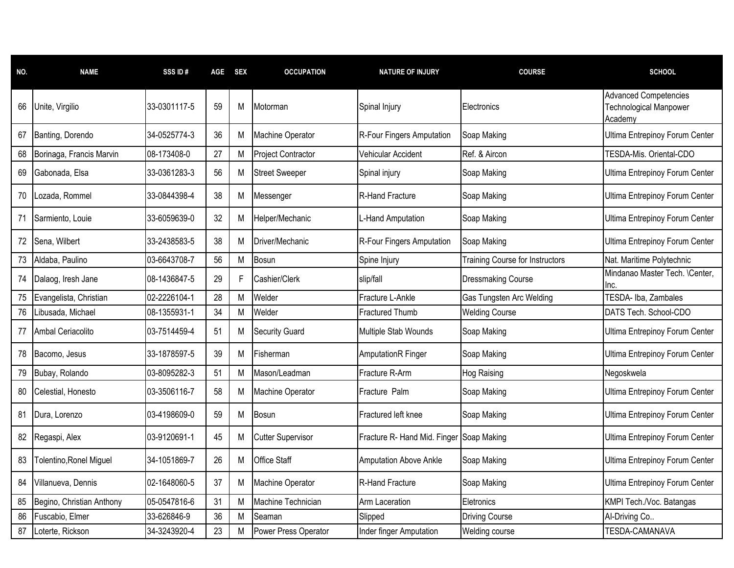| NO. | <b>NAME</b>               | SSS ID#      | <b>AGE</b> | <b>SEX</b> | <b>OCCUPATION</b>         | <b>NATURE OF INJURY</b>                  | <b>COURSE</b>                          | <b>SCHOOL</b>                                                     |
|-----|---------------------------|--------------|------------|------------|---------------------------|------------------------------------------|----------------------------------------|-------------------------------------------------------------------|
| 66  | Unite, Virgilio           | 33-0301117-5 | 59         | М          | Motorman                  | Spinal Injury                            | Electronics                            | <b>Advanced Competencies</b><br>Technological Manpower<br>Academy |
| 67  | Banting, Dorendo          | 34-0525774-3 | 36         | М          | Machine Operator          | R-Four Fingers Amputation                | Soap Making                            | Ultima Entrepinoy Forum Center                                    |
| 68  | Borinaga, Francis Marvin  | 08-173408-0  | 27         | M          | <b>Project Contractor</b> | Vehicular Accident                       | Ref. & Aircon                          | TESDA-Mis. Oriental-CDO                                           |
| 69  | Gabonada, Elsa            | 33-0361283-3 | 56         | М          | <b>Street Sweeper</b>     | Spinal injury                            | Soap Making                            | Ultima Entrepinoy Forum Center                                    |
| 70  | Lozada, Rommel            | 33-0844398-4 | 38         | Μ          | Messenger                 | <b>R-Hand Fracture</b>                   | Soap Making                            | <b>Ultima Entrepinoy Forum Center</b>                             |
| 71  | Sarmiento, Louie          | 33-6059639-0 | 32         | Μ          | Helper/Mechanic           | L-Hand Amputation                        | Soap Making                            | Ultima Entrepinoy Forum Center                                    |
| 72  | Sena, Wilbert             | 33-2438583-5 | 38         | М          | Driver/Mechanic           | R-Four Fingers Amputation                | Soap Making                            | Ultima Entrepinoy Forum Center                                    |
| 73  | Aldaba, Paulino           | 03-6643708-7 | 56         | М          | Bosun                     | Spine Injury                             | <b>Training Course for Instructors</b> | Nat. Maritime Polytechnic                                         |
| 74  | Dalaog, Iresh Jane        | 08-1436847-5 | 29         |            | Cashier/Clerk             | slip/fall                                | <b>Dressmaking Course</b>              | Mindanao Master Tech. \Center,<br>Inc.                            |
| 75  | Evangelista, Christian    | 02-2226104-1 | 28         | M          | Welder                    | Fracture L-Ankle                         | Gas Tungsten Arc Welding               | TESDA- Iba, Zambales                                              |
| 76  | Libusada, Michael         | 08-1355931-1 | 34         | М          | Welder                    | <b>Fractured Thumb</b>                   | <b>Welding Course</b>                  | DATS Tech. School-CDO                                             |
| 77  | Ambal Ceriacolito         | 03-7514459-4 | 51         | Μ          | <b>Security Guard</b>     | Multiple Stab Wounds                     | Soap Making                            | Ultima Entrepinoy Forum Center                                    |
| 78  | Bacomo, Jesus             | 33-1878597-5 | 39         | Μ          | Fisherman                 | <b>AmputationR Finger</b>                | Soap Making                            | Ultima Entrepinoy Forum Center                                    |
| 79  | Bubay, Rolando            | 03-8095282-3 | 51         | M          | Mason/Leadman             | Fracture R-Arm                           | <b>Hog Raising</b>                     | Negoskwela                                                        |
| 80  | Celestial, Honesto        | 03-3506116-7 | 58         | М          | Machine Operator          | Fracture Palm                            | Soap Making                            | Ultima Entrepinoy Forum Center                                    |
| 81  | Dura, Lorenzo             | 03-4198609-0 | 59         | М          | Bosun                     | Fractured left knee                      | Soap Making                            | Ultima Entrepinoy Forum Center                                    |
| 82  | Regaspi, Alex             | 03-9120691-1 | 45         | Μ          | <b>Cutter Supervisor</b>  | Fracture R- Hand Mid. Finger Soap Making |                                        | Ultima Entrepinoy Forum Center                                    |
| 83  | Tolentino, Ronel Miguel   | 34-1051869-7 | 26         | Μ          | Office Staff              | <b>Amputation Above Ankle</b>            | Soap Making                            | Ultima Entrepinoy Forum Center                                    |
| 84  | Villanueva, Dennis        | 02-1648060-5 | 37         | Μ          | Machine Operator          | R-Hand Fracture                          | Soap Making                            | Ultima Entrepinoy Forum Center                                    |
| 85  | Begino, Christian Anthony | 05-0547816-6 | 31         | М          | Machine Technician        | Arm Laceration                           | Eletronics                             | KMPI Tech./Voc. Batangas                                          |
| 86  | Fuscabio, Elmer           | 33-626846-9  | 36         | М          | Seaman                    | Slipped                                  | <b>Driving Course</b>                  | Al-Driving Co                                                     |
| 87  | Loterte, Rickson          | 34-3243920-4 | 23         | М          | Power Press Operator      | Inder finger Amputation                  | Welding course                         | <b>TESDA-CAMANAVA</b>                                             |